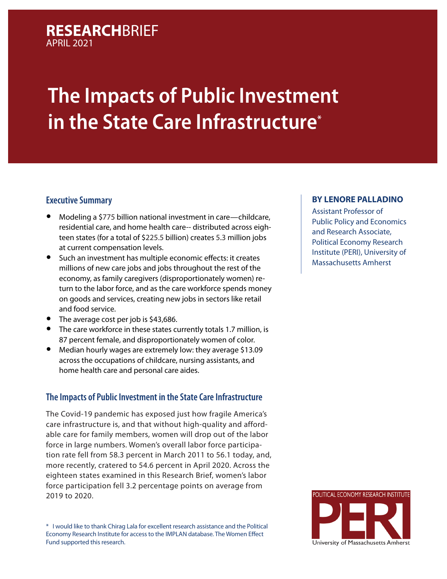## **RESEARCH**BRIEF APRIL 2021

# **The Impacts of Public Investment in the State Care Infrastructure\***

### **Executive Summary**

- Modeling a \$775 billion national investment in care—childcare, residential care, and home health care-- distributed across eighteen states (for a total of \$225.5 billion) creates 5.3 million jobs at current compensation levels.
- Such an investment has multiple economic effects: it creates millions of new care jobs and jobs throughout the rest of the economy, as family caregivers (disproportionately women) return to the labor force, and as the care workforce spends money on goods and services, creating new jobs in sectors like retail and food service.
- The average cost per job is \$43,686.
- The care workforce in these states currently totals 1.7 million, is 87 percent female, and disproportionately women of color.
- Median hourly wages are extremely low: they average \$13.09 across the occupations of childcare, nursing assistants, and home health care and personal care aides.

### **The Impacts of Public Investment in the State Care Infrastructure**

The Covid-19 pandemic has exposed just how fragile America's care infrastructure is, and that without high-quality and affordable care for family members, women will drop out of the labor force in large numbers. Women's overall labor force participation rate fell from 58.3 percent in March 2011 to 56.1 today, and, more recently, cratered to 54.6 percent in April 2020. Across the eighteen states examined in this Research Brief, women's labor force participation fell 3.2 percentage points on average from 2019 to 2020.

\* I would like to thank Chirag Lala for excellent research assistance and the Political Economy Research Institute for access to the IMPLAN database. The Women Effect Fund supported this research.

#### **[BY LENORE PALLADINO](https://www.peri.umass.edu/economists/lenore123)**

Assistant Professor of Public Policy and Economics and Research Associate, Political Economy Research Institute (PERI), University of Massachusetts Amherst

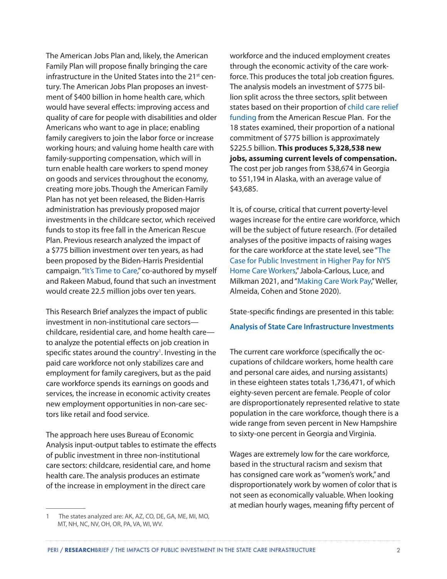The American Jobs Plan and, likely, the American Family Plan will propose finally bringing the care infrastructure in the United States into the 21<sup>st</sup> century. The American Jobs Plan proposes an investment of \$400 billion in home health care, which would have several effects: improving access and quality of care for people with disabilities and older Americans who want to age in place; enabling family caregivers to join the labor force or increase working hours; and valuing home health care with family-supporting compensation, which will in turn enable health care workers to spend money on goods and services throughout the economy, creating more jobs. Though the American Family Plan has not yet been released, the Biden-Harris administration has previously proposed major investments in the childcare sector, which received funds to stop its free fall in the American Rescue Plan. Previous research analyzed the impact of a \$775 billion investment over ten years, as had been proposed by the Biden-Harris Presidential campaign. ["It's Time to Care](https://timesupfoundation.org/work/times-up-impact-lab/times-up-measure-up/its-time-to-care-the-economic-case-for-investing-in-a-care-infrastructure/)," co-authored by myself and Rakeen Mabud, found that such an investment would create 22.5 million jobs over ten years.

This Research Brief analyzes the impact of public investment in non-institutional care sectors childcare, residential care, and home health care to analyze the potential effects on job creation in specific states around the country<sup>1</sup>. Investing in the paid care workforce not only stabilizes care and employment for family caregivers, but as the paid care workforce spends its earnings on goods and services, the increase in economic activity creates new employment opportunities in non-care sectors like retail and food service.

The approach here uses Bureau of Economic Analysis input-output tables to estimate the effects of public investment in three non-institutional care sectors: childcare, residential care, and home health care. The analysis produces an estimate of the increase in employment in the direct care

workforce and the induced employment creates through the economic activity of the care workforce. This produces the total job creation figures. The analysis models an investment of \$775 billion split across the three sectors, split between states based on their proportion of [child care relief](https://www.clasp.org/publications/fact-sheet/child-care-estimates-american-rescue-plan)  [funding](https://www.clasp.org/publications/fact-sheet/child-care-estimates-american-rescue-plan) from the American Rescue Plan. For the 18 states examined, their proportion of a national commitment of \$775 billion is approximately \$225.5 billion. **This produces 5,328,538 new jobs, assuming current levels of compensation.**  The cost per job ranges from \$38,674 in Georgia to \$51,194 in Alaska, with an average value of \$43,685.

It is, of course, critical that current poverty-level wages increase for the entire care workforce, which will be the subject of future research. (For detailed analyses of the positive impacts of raising wages for the care workforce at the state level, see "[The](https://academicworks.cuny.edu/gc_pubs/682/?fbclid=IwAR3uFO6EmENmeMy8WR0TX1kCJH6M4RJVbJpSyQb7Cz1DU5e3aA8wWB0uAN0)  [Case for Public Investment in Higher Pay for NYS](https://academicworks.cuny.edu/gc_pubs/682/?fbclid=IwAR3uFO6EmENmeMy8WR0TX1kCJH6M4RJVbJpSyQb7Cz1DU5e3aA8wWB0uAN0)  [Home Care Workers,](https://academicworks.cuny.edu/gc_pubs/682/?fbclid=IwAR3uFO6EmENmeMy8WR0TX1kCJH6M4RJVbJpSyQb7Cz1DU5e3aA8wWB0uAN0)" Jabola-Carlous, Luce, and Milkman 2021, and "[Making Care Work Pay](https://leadingage.org/sites/default/files/Making%20Care%20Work%20Pay%20Report.pdf)," Weller, Almeida, Cohen and Stone 2020).

State-specific findings are presented in this table: **[Analysis of State Care Infrastructure Investments](https://docs.google.com/spreadsheets/d/1C5TCve9BaHzEDcPZatHR7E5gpQrX7yNnfBLF_OGJ_yw/edit?usp=sharing)**

The current care workforce (specifically the occupations of childcare workers, home health care and personal care aides, and nursing assistants) in these eighteen states totals 1,736,471, of which eighty-seven percent are female. People of color are disproportionately represented relative to state population in the care workforce, though there is a wide range from seven percent in New Hampshire to sixty-one percent in Georgia and Virginia.

Wages are extremely low for the care workforce, based in the structural racism and sexism that has consigned care work as "women's work," and disproportionately work by women of color that is not seen as economically valuable. When looking at median hourly wages, meaning fifty percent of

<sup>1</sup> The states analyzed are: AK, AZ, CO, DE, GA, ME, MI, MO, MT, NH, NC, NV, OH, OR, PA, VA, WI, WV.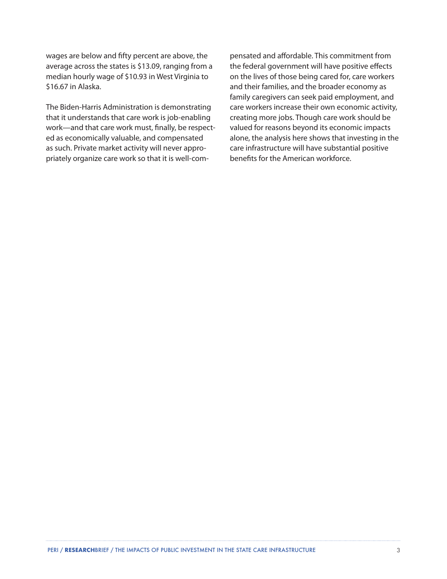wages are below and fifty percent are above, the average across the states is \$13.09, ranging from a median hourly wage of \$10.93 in West Virginia to \$16.67 in Alaska.

The Biden-Harris Administration is demonstrating that it understands that care work is job-enabling work—and that care work must, finally, be respected as economically valuable, and compensated as such. Private market activity will never appropriately organize care work so that it is well-compensated and affordable. This commitment from the federal government will have positive effects on the lives of those being cared for, care workers and their families, and the broader economy as family caregivers can seek paid employment, and care workers increase their own economic activity, creating more jobs. Though care work should be valued for reasons beyond its economic impacts alone, the analysis here shows that investing in the care infrastructure will have substantial positive benefits for the American workforce.